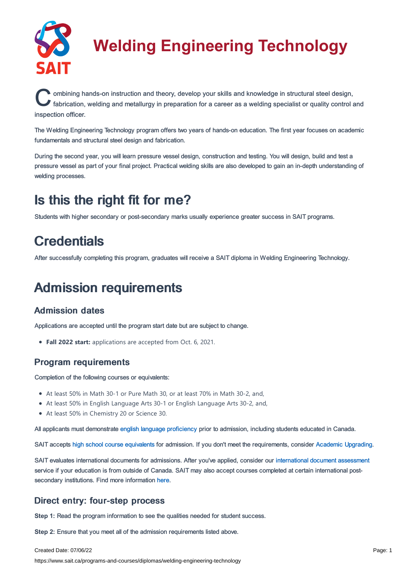

# **Welding Engineering Technology**

Combining hands-on instruction and theory, develop your skills and knowledge in structural steel design,<br>fabrication, welding and metallurgy in preparation for a career as a welding specialist or quality control and ombining hands-on instruction and theory, develop your skills and knowledge in structural steel design, inspection officer.

The Welding Engineering Technology program offers two years of hands-on education. The first year focuses on academic fundamentals and structural steel design and fabrication.

During the second year, you will learn pressure vessel design, construction and testing. You will design, build and test a pressure vessel as part of your final project. Practical welding skills are also developed to gain an in-depth understanding of welding processes.

# Is this the right fit for me?

Students with higher secondary or post-secondary marks usually experience greater success in SAIT programs.

# **Credentials**

After successfully completing this program, graduates will receive a SAIT diploma in Welding Engineering Technology.

# Admission requirements

# Admission dates

Applications are accepted until the program start date but are subject to change.

**Fall 2022 start:** applications are accepted from Oct. 6, 2021.

# Program requirements

Completion of the following courses or equivalents:

- At least 50% in Math 30-1 or Pure Math 30, or at least 70% in Math 30-2, and,
- At least 50% in English Language Arts 30-1 or English Language Arts 30-2, and,
- At least 50% in Chemistry 20 or Science 30.

All applicants must demonstrate english language [proficiency](https://www.sait.ca/admissions/before-you-apply/english-proficiency) prior to admission, including students educated in Canada.

SAIT accepts high school course [equivalents](https://www.sait.ca/admissions/before-you-apply/high-school-course-equivalencies) for admission. If you don't meet the requirements, consider Academic [Upgrading.](https://www.sait.ca/programs-and-courses/academic-upgrading)

SAIT evaluates international documents for admissions. After you've applied, consider our [international](https://www.sait.ca/admissions/after-you-apply/international-document-assessment) document assessment service if your education is from outside of Canada. SAIT may also accept courses completed at certain international postsecondary institutions. Find more information [here.](https://www.sait.ca/admissions/after-you-apply/international-institution-academic-partnerships)

# Direct entry: four-step process

**Step 1:** Read the program information to see the qualities needed for student success.

**Step 2:** Ensure that you meet all of the admission requirements listed above.

#### Created Date: 07/06/22

https://www.sait.ca/programs-and-courses/diplomas/welding-engineering-technology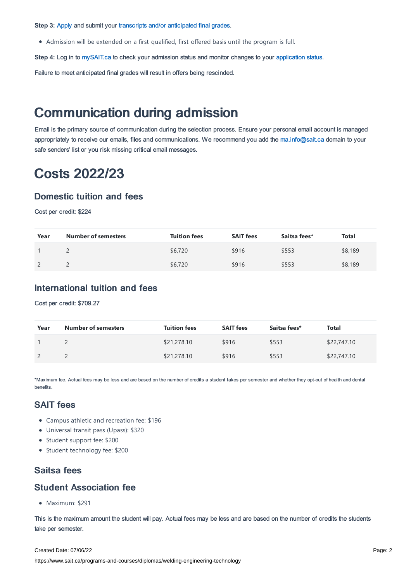**Step 3:** [Apply](https://www.sait.ca/admissions/apply) and submit your transcripts and/or [anticipated](https://www.sait.ca/admissions/after-you-apply/transcripts-and-supporting-documents) final grades.

Admission will be extended on a first-qualified, first-offered basis until the program is full.

**Step 4:** Log in to [mySAIT.ca](http://www.mysait.ca/) to check your admission status and monitor changes to your [application](https://www.sait.ca/admissions/after-you-apply/tracking-your-application) status.

Failure to meet anticipated final grades will result in offers being rescinded.

# Communication during admission

Email is the primary source of communication during the selection process. Ensure your personal email account is managed appropriately to receive our emails, files and communications. We recommend you add the [ma.info@sait.ca](https://sait.camailto:ma.info@sait.ca) domain to your safe senders' list or you risk missing critical email messages.

# Costs 2022/23

#### Domestic tuition and fees

Cost per credit: \$224

| Year | <b>Number of semesters</b> | <b>Tuition fees</b> | <b>SAIT fees</b> | Saitsa fees* | Total   |
|------|----------------------------|---------------------|------------------|--------------|---------|
|      |                            | \$6,720             | \$916            | \$553        | \$8,189 |
|      |                            | \$6,720             | \$916            | \$553        | \$8,189 |

## International tuition and fees

Cost per credit: \$709.27

| Year | <b>Number of semesters</b> | <b>Tuition fees</b> | <b>SAIT fees</b> | Saitsa fees* | Total       |
|------|----------------------------|---------------------|------------------|--------------|-------------|
|      |                            | \$21,278.10         | \$916            | \$553        | \$22,747.10 |
|      |                            | \$21,278.10         | \$916            | \$553        | \$22,747.10 |

\*Maximum fee. Actual fees may be less and are based on the number of credits a student takes per semester and whether they opt-out of health and dental benefits.

## SAIT fees

- Campus athletic and recreation fee: \$196
- Universal transit pass (Upass): \$320
- Student support fee: \$200
- Student technology fee: \$200

### Saitsa fees

### Student Association fee

Maximum: \$291

This is the maximum amount the student will pay. Actual fees may be less and are based on the number of credits the students take per semester.

#### Created Date: 07/06/22